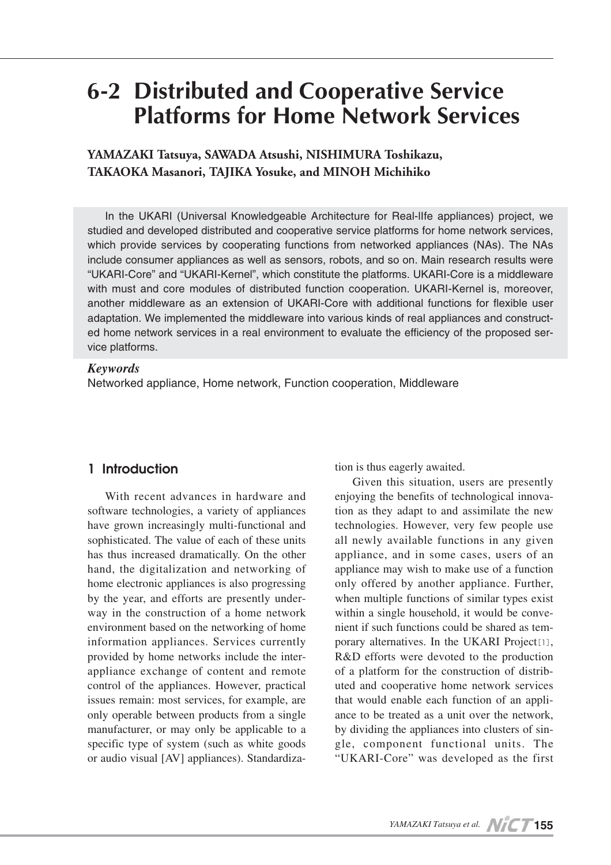# **6-2 Distributed and Cooperative Service Platforms for Home Network Services**

**YAMAZAKI Tatsuya, SAWADA Atsushi, NISHIMURA Toshikazu, TAKAOKA Masanori, TAJIKA Yosuke, and MINOH Michihiko**

In the UKARI (Universal Knowledgeable Architecture for Real-lIfe appliances) project, we studied and developed distributed and cooperative service platforms for home network services, which provide services by cooperating functions from networked appliances (NAs). The NAs include consumer appliances as well as sensors, robots, and so on. Main research results were "UKARI-Core" and "UKARI-Kernel", which constitute the platforms. UKARI-Core is a middleware with must and core modules of distributed function cooperation. UKARI-Kernel is, moreover, another middleware as an extension of UKARI-Core with additional functions for flexible user adaptation. We implemented the middleware into various kinds of real appliances and constructed home network services in a real environment to evaluate the efficiency of the proposed service platforms.

#### *Keywords*

Networked appliance, Home network, Function cooperation, Middleware

# **1 Introduction**

With recent advances in hardware and software technologies, a variety of appliances have grown increasingly multi-functional and sophisticated. The value of each of these units has thus increased dramatically. On the other hand, the digitalization and networking of home electronic appliances is also progressing by the year, and efforts are presently underway in the construction of a home network environment based on the networking of home information appliances. Services currently provided by home networks include the interappliance exchange of content and remote control of the appliances. However, practical issues remain: most services, for example, are only operable between products from a single manufacturer, or may only be applicable to a specific type of system (such as white goods or audio visual [AV] appliances). Standardization is thus eagerly awaited.

Given this situation, users are presently enjoying the benefits of technological innovation as they adapt to and assimilate the new technologies. However, very few people use all newly available functions in any given appliance, and in some cases, users of an appliance may wish to make use of a function only offered by another appliance. Further, when multiple functions of similar types exist within a single household, it would be convenient if such functions could be shared as temporary alternatives. In the UKARI Project[1], R&D efforts were devoted to the production of a platform for the construction of distributed and cooperative home network services that would enable each function of an appliance to be treated as a unit over the network, by dividing the appliances into clusters of single, component functional units. The "UKARI-Core" was developed as the first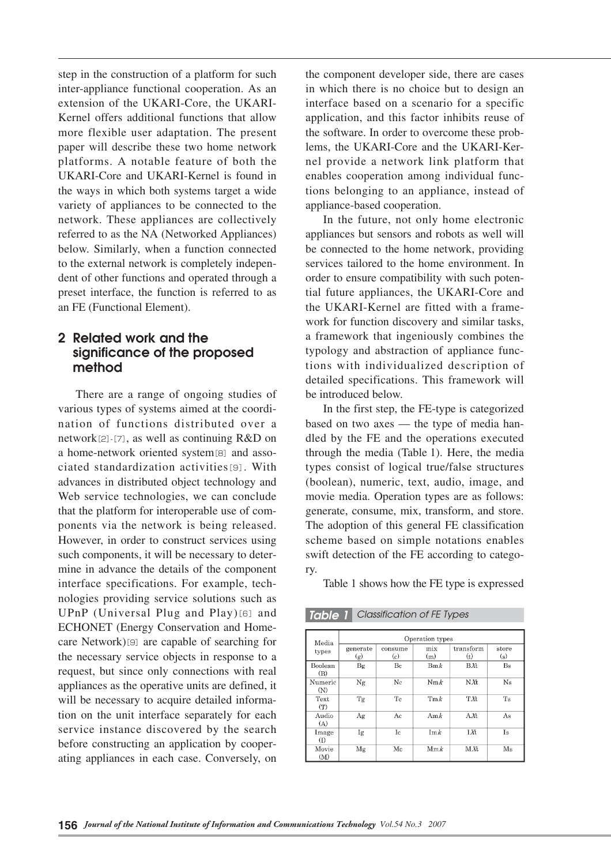step in the construction of a platform for such inter-appliance functional cooperation. As an extension of the UKARI-Core, the UKARI-Kernel offers additional functions that allow more flexible user adaptation. The present paper will describe these two home network platforms. A notable feature of both the UKARI-Core and UKARI-Kernel is found in the ways in which both systems target a wide variety of appliances to be connected to the network. These appliances are collectively referred to as the NA (Networked Appliances) below. Similarly, when a function connected to the external network is completely independent of other functions and operated through a preset interface, the function is referred to as an FE (Functional Element).

# **2 Related work and the significance of the proposed method**

There are a range of ongoing studies of various types of systems aimed at the coordination of functions distributed over a network<sup>[2]</sup>-[7], as well as continuing  $R&D$  on a home-network oriented system[8] and associated standardization activities[9]. With advances in distributed object technology and Web service technologies, we can conclude that the platform for interoperable use of components via the network is being released. However, in order to construct services using such components, it will be necessary to determine in advance the details of the component interface specifications. For example, technologies providing service solutions such as UPnP (Universal Plug and Play)[6] and ECHONET (Energy Conservation and Homecare Network) $[9]$  are capable of searching for the necessary service objects in response to a request, but since only connections with real appliances as the operative units are defined, it will be necessary to acquire detailed information on the unit interface separately for each service instance discovered by the search before constructing an application by cooperating appliances in each case. Conversely, on

the component developer side, there are cases in which there is no choice but to design an interface based on a scenario for a specific application, and this factor inhibits reuse of the software. In order to overcome these problems, the UKARI-Core and the UKARI-Kernel provide a network link platform that enables cooperation among individual functions belonging to an appliance, instead of appliance-based cooperation.

In the future, not only home electronic appliances but sensors and robots as well will be connected to the home network, providing services tailored to the home environment. In order to ensure compatibility with such potential future appliances, the UKARI-Core and the UKARI-Kernel are fitted with a framework for function discovery and similar tasks, a framework that ingeniously combines the typology and abstraction of appliance functions with individualized description of detailed specifications. This framework will be introduced below.

In the first step, the FE-type is categorized based on two axes — the type of media handled by the FE and the operations executed through the media (Table 1). Here, the media types consist of logical true/false structures (boolean), numeric, text, audio, image, and movie media. Operation types are as follows: generate, consume, mix, transform, and store. The adoption of this general FE classification scheme based on simple notations enables swift detection of the FE according to category.

Table 1 shows how the FE type is expressed

*Table 1 Classification of FE Types*

| Media<br>types | Operation types |                     |            |                  |              |
|----------------|-----------------|---------------------|------------|------------------|--------------|
|                | generate<br>(g) | consume<br>$\rm(c)$ | mix<br>(m) | transform<br>(t) | store<br>(s) |
| Boolean<br>(B) | Bg              | Bc                  | Bm k       | B X t            | <b>Bs</b>    |
| Numeric<br>(N) | Ng              | Nc                  | Nmk        | N X t            | Ns           |
| Text<br>(T)    | Tg              | Tc                  | Tm k       | TXt              | Ts           |
| Audio<br>(A)   | Ag              | Aс                  | Amk        | AXt              | As           |
| Image<br>(I)   | Ig              | Ic                  | Im k       | <b>IXt</b>       | Is           |
| Movie<br>(M)   | Mg              | Mc                  | Mm k       | MÆ               | Ms           |

**156** *Journal of the National Institute of Information and Communications Technology Vol.54 No.3 2007*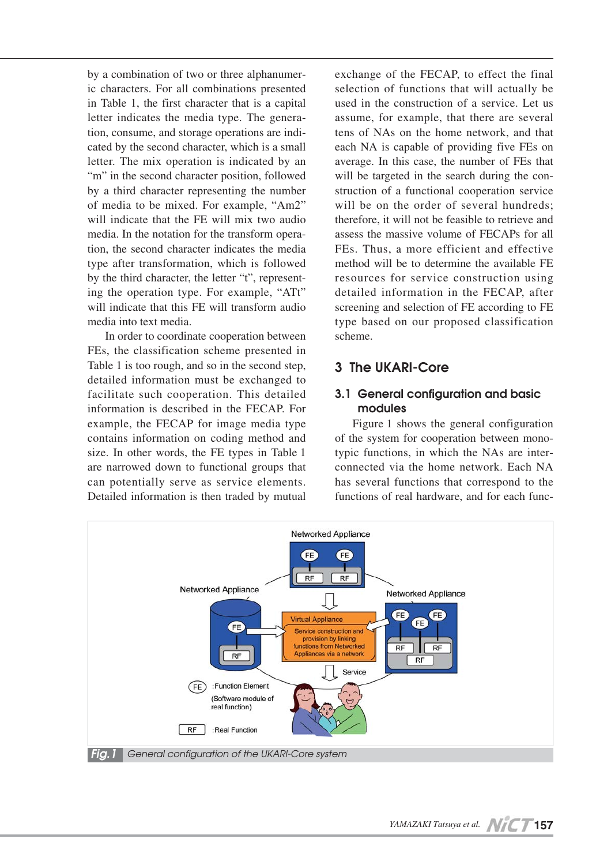by a combination of two or three alphanumeric characters. For all combinations presented in Table 1, the first character that is a capital letter indicates the media type. The generation, consume, and storage operations are indicated by the second character, which is a small letter. The mix operation is indicated by an "m" in the second character position, followed by a third character representing the number of media to be mixed. For example, "Am2" will indicate that the FE will mix two audio media. In the notation for the transform operation, the second character indicates the media type after transformation, which is followed by the third character, the letter "t", representing the operation type. For example, "ATt" will indicate that this FE will transform audio media into text media.

In order to coordinate cooperation between FEs, the classification scheme presented in Table 1 is too rough, and so in the second step, detailed information must be exchanged to facilitate such cooperation. This detailed information is described in the FECAP. For example, the FECAP for image media type contains information on coding method and size. In other words, the FE types in Table 1 are narrowed down to functional groups that can potentially serve as service elements. Detailed information is then traded by mutual

exchange of the FECAP, to effect the final selection of functions that will actually be used in the construction of a service. Let us assume, for example, that there are several tens of NAs on the home network, and that each NA is capable of providing five FEs on average. In this case, the number of FEs that will be targeted in the search during the construction of a functional cooperation service will be on the order of several hundreds: therefore, it will not be feasible to retrieve and assess the massive volume of FECAPs for all FEs. Thus, a more efficient and effective method will be to determine the available FE resources for service construction using detailed information in the FECAP, after screening and selection of FE according to FE type based on our proposed classification scheme.

# **3 The UKARI-Core**

## **3.1 General configuration and basic modules**

Figure 1 shows the general configuration of the system for cooperation between monotypic functions, in which the NAs are interconnected via the home network. Each NA has several functions that correspond to the functions of real hardware, and for each func-

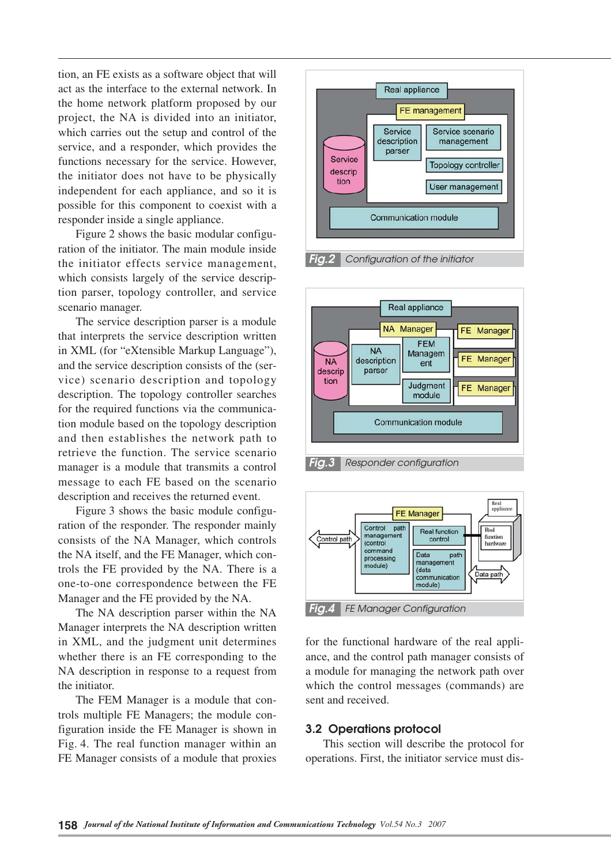tion, an FE exists as a software object that will act as the interface to the external network. In the home network platform proposed by our project, the NA is divided into an initiator, which carries out the setup and control of the service, and a responder, which provides the functions necessary for the service. However, the initiator does not have to be physically independent for each appliance, and so it is possible for this component to coexist with a responder inside a single appliance.

Figure 2 shows the basic modular configuration of the initiator. The main module inside the initiator effects service management, which consists largely of the service description parser, topology controller, and service scenario manager.

The service description parser is a module that interprets the service description written in XML (for "eXtensible Markup Language"), and the service description consists of the (service) scenario description and topology description. The topology controller searches for the required functions via the communication module based on the topology description and then establishes the network path to retrieve the function. The service scenario manager is a module that transmits a control message to each FE based on the scenario description and receives the returned event.

Figure 3 shows the basic module configuration of the responder. The responder mainly consists of the NA Manager, which controls the NA itself, and the FE Manager, which controls the FE provided by the NA. There is a one-to-one correspondence between the FE Manager and the FE provided by the NA.

The NA description parser within the NA Manager interprets the NA description written in XML, and the judgment unit determines whether there is an FE corresponding to the NA description in response to a request from the initiator.

The FEM Manager is a module that controls multiple FE Managers; the module configuration inside the FE Manager is shown in Fig. 4. The real function manager within an FE Manager consists of a module that proxies





*Fig.3 Responder configuration*



for the functional hardware of the real appliance, and the control path manager consists of a module for managing the network path over which the control messages (commands) are sent and received.

#### **3.2 Operations protocol**

This section will describe the protocol for operations. First, the initiator service must dis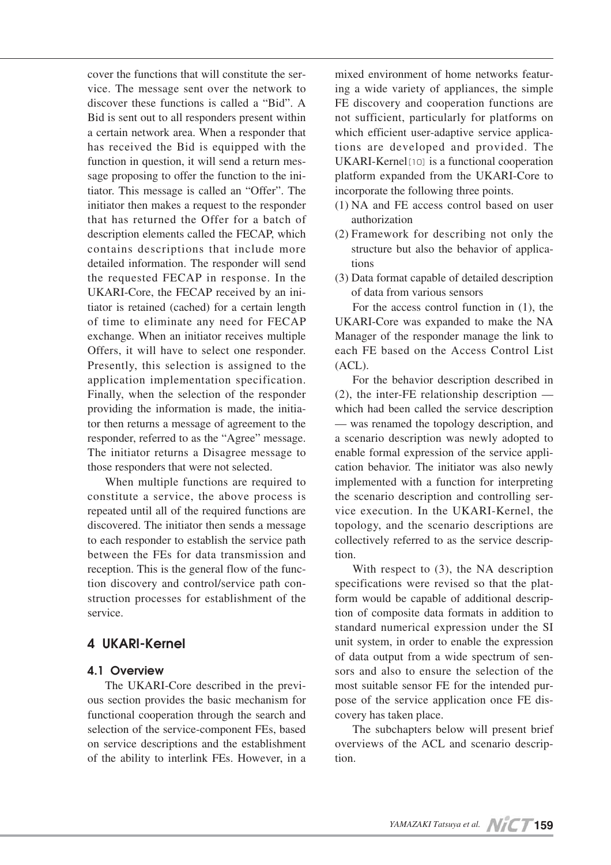cover the functions that will constitute the service. The message sent over the network to discover these functions is called a "Bid". A Bid is sent out to all responders present within a certain network area. When a responder that has received the Bid is equipped with the function in question, it will send a return message proposing to offer the function to the initiator. This message is called an "Offer". The initiator then makes a request to the responder that has returned the Offer for a batch of description elements called the FECAP, which contains descriptions that include more detailed information. The responder will send the requested FECAP in response. In the UKARI-Core, the FECAP received by an initiator is retained (cached) for a certain length of time to eliminate any need for FECAP exchange. When an initiator receives multiple Offers, it will have to select one responder. Presently, this selection is assigned to the application implementation specification. Finally, when the selection of the responder providing the information is made, the initiator then returns a message of agreement to the responder, referred to as the "Agree" message. The initiator returns a Disagree message to those responders that were not selected.

When multiple functions are required to constitute a service, the above process is repeated until all of the required functions are discovered. The initiator then sends a message to each responder to establish the service path between the FEs for data transmission and reception. This is the general flow of the function discovery and control/service path construction processes for establishment of the service.

# **4 UKARI-Kernel**

## **4.1 Overview**

The UKARI-Core described in the previous section provides the basic mechanism for functional cooperation through the search and selection of the service-component FEs, based on service descriptions and the establishment of the ability to interlink FEs. However, in a

mixed environment of home networks featuring a wide variety of appliances, the simple FE discovery and cooperation functions are not sufficient, particularly for platforms on which efficient user-adaptive service applications are developed and provided. The UKARI-Kernel<sup>[10]</sup> is a functional cooperation platform expanded from the UKARI-Core to incorporate the following three points.

- (1) NA and FE access control based on user authorization
- (2) Framework for describing not only the structure but also the behavior of applications
- (3) Data format capable of detailed description of data from various sensors

For the access control function in (1), the UKARI-Core was expanded to make the NA Manager of the responder manage the link to each FE based on the Access Control List (ACL).

For the behavior description described in (2), the inter-FE relationship description which had been called the service description — was renamed the topology description, and a scenario description was newly adopted to enable formal expression of the service application behavior. The initiator was also newly implemented with a function for interpreting the scenario description and controlling service execution. In the UKARI-Kernel, the topology, and the scenario descriptions are collectively referred to as the service description.

With respect to (3), the NA description specifications were revised so that the platform would be capable of additional description of composite data formats in addition to standard numerical expression under the SI unit system, in order to enable the expression of data output from a wide spectrum of sensors and also to ensure the selection of the most suitable sensor FE for the intended purpose of the service application once FE discovery has taken place.

The subchapters below will present brief overviews of the ACL and scenario description.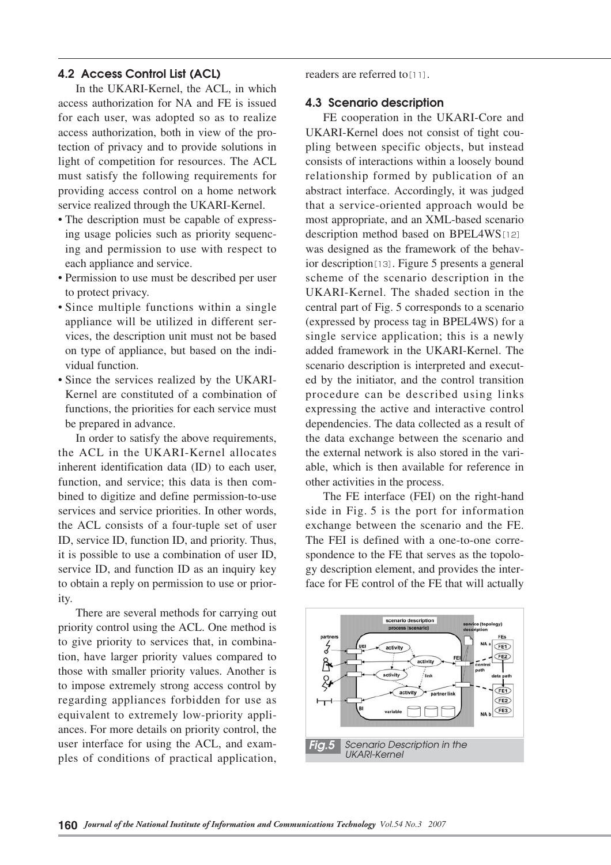## **4.2 Access Control List (ACL)**

In the UKARI-Kernel, the ACL, in which access authorization for NA and FE is issued for each user, was adopted so as to realize access authorization, both in view of the protection of privacy and to provide solutions in light of competition for resources. The ACL must satisfy the following requirements for providing access control on a home network service realized through the UKARI-Kernel.

- The description must be capable of expressing usage policies such as priority sequencing and permission to use with respect to each appliance and service.
- Permission to use must be described per user to protect privacy.
- Since multiple functions within a single appliance will be utilized in different services, the description unit must not be based on type of appliance, but based on the individual function.
- Since the services realized by the UKARI-Kernel are constituted of a combination of functions, the priorities for each service must be prepared in advance.

In order to satisfy the above requirements, the ACL in the UKARI-Kernel allocates inherent identification data (ID) to each user, function, and service; this data is then combined to digitize and define permission-to-use services and service priorities. In other words, the ACL consists of a four-tuple set of user ID, service ID, function ID, and priority. Thus, it is possible to use a combination of user ID, service ID, and function ID as an inquiry key to obtain a reply on permission to use or priority.

There are several methods for carrying out priority control using the ACL. One method is to give priority to services that, in combination, have larger priority values compared to those with smaller priority values. Another is to impose extremely strong access control by regarding appliances forbidden for use as equivalent to extremely low-priority appliances. For more details on priority control, the user interface for using the ACL, and examples of conditions of practical application,

readers are referred to[11].

## **4.3 Scenario description**

FE cooperation in the UKARI-Core and UKARI-Kernel does not consist of tight coupling between specific objects, but instead consists of interactions within a loosely bound relationship formed by publication of an abstract interface. Accordingly, it was judged that a service-oriented approach would be most appropriate, and an XML-based scenario description method based on BPEL4WS[12] was designed as the framework of the behavior description[13]. Figure 5 presents a general scheme of the scenario description in the UKARI-Kernel. The shaded section in the central part of Fig. 5 corresponds to a scenario (expressed by process tag in BPEL4WS) for a single service application; this is a newly added framework in the UKARI-Kernel. The scenario description is interpreted and executed by the initiator, and the control transition procedure can be described using links expressing the active and interactive control dependencies. The data collected as a result of the data exchange between the scenario and the external network is also stored in the variable, which is then available for reference in other activities in the process.

The FE interface (FEI) on the right-hand side in Fig. 5 is the port for information exchange between the scenario and the FE. The FEI is defined with a one-to-one correspondence to the FE that serves as the topology description element, and provides the interface for FE control of the FE that will actually

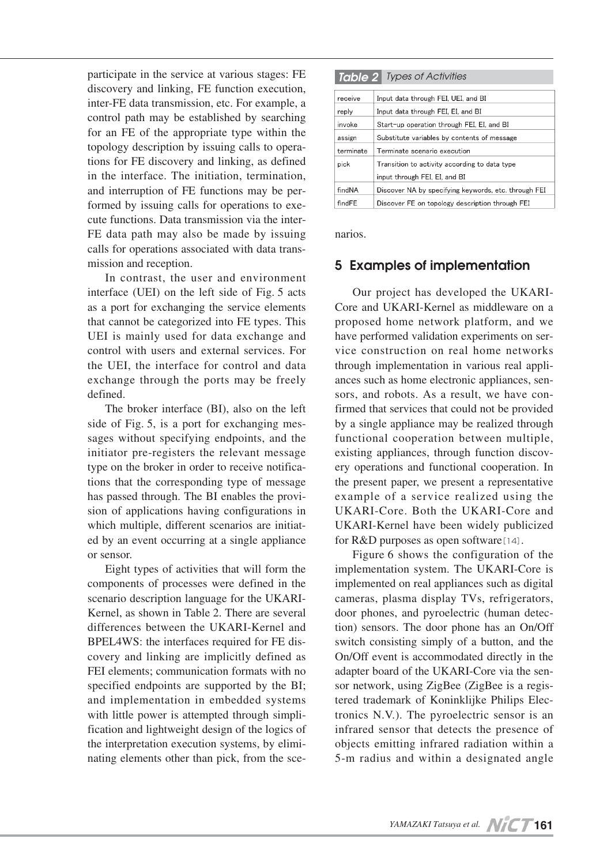participate in the service at various stages: FE discovery and linking, FE function execution, inter-FE data transmission, etc. For example, a control path may be established by searching for an FE of the appropriate type within the topology description by issuing calls to operations for FE discovery and linking, as defined in the interface. The initiation, termination, and interruption of FE functions may be performed by issuing calls for operations to execute functions. Data transmission via the inter-FE data path may also be made by issuing calls for operations associated with data transmission and reception.

In contrast, the user and environment interface (UEI) on the left side of Fig. 5 acts as a port for exchanging the service elements that cannot be categorized into FE types. This UEI is mainly used for data exchange and control with users and external services. For the UEI, the interface for control and data exchange through the ports may be freely defined.

The broker interface (BI), also on the left side of Fig. 5, is a port for exchanging messages without specifying endpoints, and the initiator pre-registers the relevant message type on the broker in order to receive notifications that the corresponding type of message has passed through. The BI enables the provision of applications having configurations in which multiple, different scenarios are initiated by an event occurring at a single appliance or sensor.

Eight types of activities that will form the components of processes were defined in the scenario description language for the UKARI-Kernel, as shown in Table 2. There are several differences between the UKARI-Kernel and BPEL4WS: the interfaces required for FE discovery and linking are implicitly defined as FEI elements; communication formats with no specified endpoints are supported by the BI; and implementation in embedded systems with little power is attempted through simplification and lightweight design of the logics of the interpretation execution systems, by eliminating elements other than pick, from the sce-

| Table 2 Types of Activities |                                                      |  |  |
|-----------------------------|------------------------------------------------------|--|--|
| receive                     | Input data through FEI, UEI, and BI                  |  |  |
| reply                       | Input data through FEI, EI, and BI                   |  |  |
| invoke                      | Start-up operation through FEI, EI, and BI           |  |  |
| assign                      | Substitute variables by contents of message          |  |  |
| terminate                   | Terminate scenario execution                         |  |  |
| pick                        | Transition to activity according to data type        |  |  |
|                             | input through FEI, EI, and BI                        |  |  |
| findNA                      | Discover NA by specifying keywords, etc. through FEI |  |  |
| findFE                      | Discover FE on topology description through FEI      |  |  |

narios.

# **5 Examples of implementation**

Our project has developed the UKARI-Core and UKARI-Kernel as middleware on a proposed home network platform, and we have performed validation experiments on service construction on real home networks through implementation in various real appliances such as home electronic appliances, sensors, and robots. As a result, we have confirmed that services that could not be provided by a single appliance may be realized through functional cooperation between multiple, existing appliances, through function discovery operations and functional cooperation. In the present paper, we present a representative example of a service realized using the UKARI-Core. Both the UKARI-Core and UKARI-Kernel have been widely publicized for R&D purposes as open software[14].

Figure 6 shows the configuration of the implementation system. The UKARI-Core is implemented on real appliances such as digital cameras, plasma display TVs, refrigerators, door phones, and pyroelectric (human detection) sensors. The door phone has an On/Off switch consisting simply of a button, and the On/Off event is accommodated directly in the adapter board of the UKARI-Core via the sensor network, using ZigBee (ZigBee is a registered trademark of Koninklijke Philips Electronics N.V.). The pyroelectric sensor is an infrared sensor that detects the presence of objects emitting infrared radiation within a 5-m radius and within a designated angle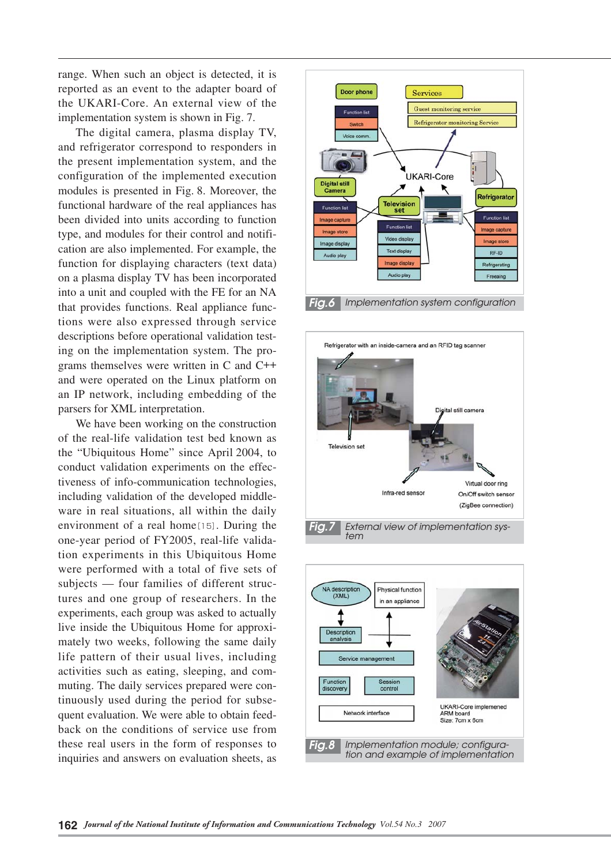range. When such an object is detected, it is reported as an event to the adapter board of the UKARI-Core. An external view of the implementation system is shown in Fig. 7.

The digital camera, plasma display TV, and refrigerator correspond to responders in the present implementation system, and the configuration of the implemented execution modules is presented in Fig. 8. Moreover, the functional hardware of the real appliances has been divided into units according to function type, and modules for their control and notification are also implemented. For example, the function for displaying characters (text data) on a plasma display TV has been incorporated into a unit and coupled with the FE for an NA that provides functions. Real appliance functions were also expressed through service descriptions before operational validation testing on the implementation system. The programs themselves were written in C and C++ and were operated on the Linux platform on an IP network, including embedding of the parsers for XML interpretation.

We have been working on the construction of the real-life validation test bed known as the "Ubiquitous Home" since April 2004, to conduct validation experiments on the effectiveness of info-communication technologies, including validation of the developed middleware in real situations, all within the daily environment of a real home[15]. During the one-year period of FY2005, real-life validation experiments in this Ubiquitous Home were performed with a total of five sets of subjects — four families of different structures and one group of researchers. In the experiments, each group was asked to actually live inside the Ubiquitous Home for approximately two weeks, following the same daily life pattern of their usual lives, including activities such as eating, sleeping, and commuting. The daily services prepared were continuously used during the period for subsequent evaluation. We were able to obtain feedback on the conditions of service use from these real users in the form of responses to inquiries and answers on evaluation sheets, as





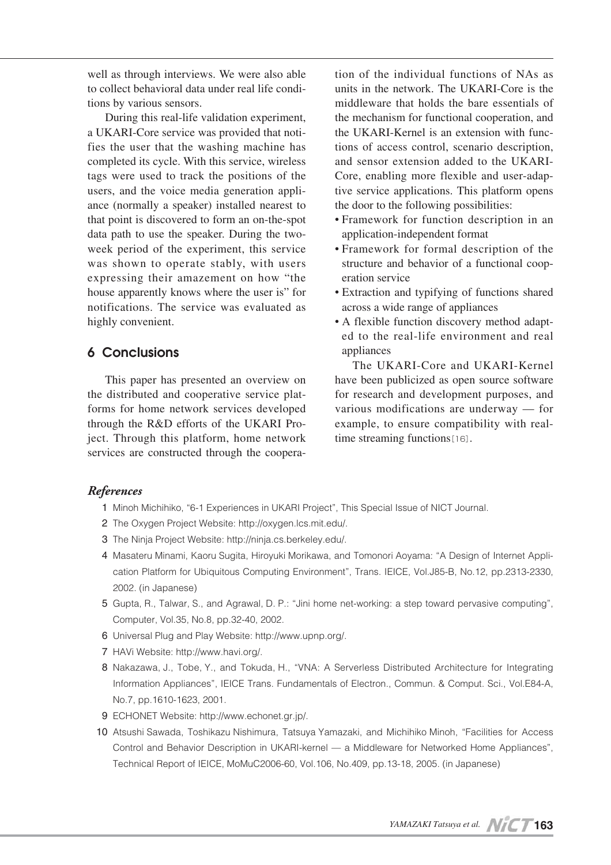well as through interviews. We were also able to collect behavioral data under real life conditions by various sensors.

During this real-life validation experiment, a UKARI-Core service was provided that notifies the user that the washing machine has completed its cycle. With this service, wireless tags were used to track the positions of the users, and the voice media generation appliance (normally a speaker) installed nearest to that point is discovered to form an on-the-spot data path to use the speaker. During the twoweek period of the experiment, this service was shown to operate stably, with users expressing their amazement on how "the house apparently knows where the user is" for notifications. The service was evaluated as highly convenient.

# **6 Conclusions**

This paper has presented an overview on the distributed and cooperative service platforms for home network services developed through the R&D efforts of the UKARI Project. Through this platform, home network services are constructed through the cooperation of the individual functions of NAs as units in the network. The UKARI-Core is the middleware that holds the bare essentials of the mechanism for functional cooperation, and the UKARI-Kernel is an extension with functions of access control, scenario description, and sensor extension added to the UKARI-Core, enabling more flexible and user-adaptive service applications. This platform opens the door to the following possibilities:

- Framework for function description in an application-independent format
- Framework for formal description of the structure and behavior of a functional cooperation service
- Extraction and typifying of functions shared across a wide range of appliances
- A flexible function discovery method adapted to the real-life environment and real appliances

The UKARI-Core and UKARI-Kernel have been publicized as open source software for research and development purposes, and various modifications are underway — for example, to ensure compatibility with realtime streaming functions[16].

## *References*

- 01 Minoh Michihiko, "6-1 Experiences in UKARI Project", This Special Issue of NICT Journal.
- 2 The Oxygen Project Website: http://oxygen.lcs.mit.edu/.
- 03 The Ninja Project Website: http://ninja.cs.berkeley.edu/.
- 4 Masateru Minami, Kaoru Sugita, Hiroyuki Morikawa, and Tomonori Aoyama: "A Design of Internet Application Platform for Ubiquitous Computing Environment", Trans. IEICE, Vol.J85-B, No.12, pp.2313-2330, 2002. (in Japanese)
- 05 Gupta, R., Talwar, S., and Agrawal, D. P.: "Jini home net-working: a step toward pervasive computing", Computer, Vol.35, No.8, pp.32-40, 2002.
- 06 Universal Plug and Play Website: http://www.upnp.org/.
- 07 HAVi Website: http://www.havi.org/.
- 8 Nakazawa, J., Tobe, Y., and Tokuda, H., "VNA: A Serverless Distributed Architecture for Integrating Information Appliances", IEICE Trans. Fundamentals of Electron., Commun. & Comput. Sci., Vol.E84-A, No.7, pp.1610-1623, 2001.
- 09 ECHONET Website: http://www.echonet.gr.jp/.
- 10 Atsushi Sawada, Toshikazu Nishimura, Tatsuya Yamazaki, and Michihiko Minoh, "Facilities for Access Control and Behavior Description in UKARI-kernel — a Middleware for Networked Home Appliances", Technical Report of IEICE, MoMuC2006-60, Vol.106, No.409, pp.13-18, 2005. (in Japanese)